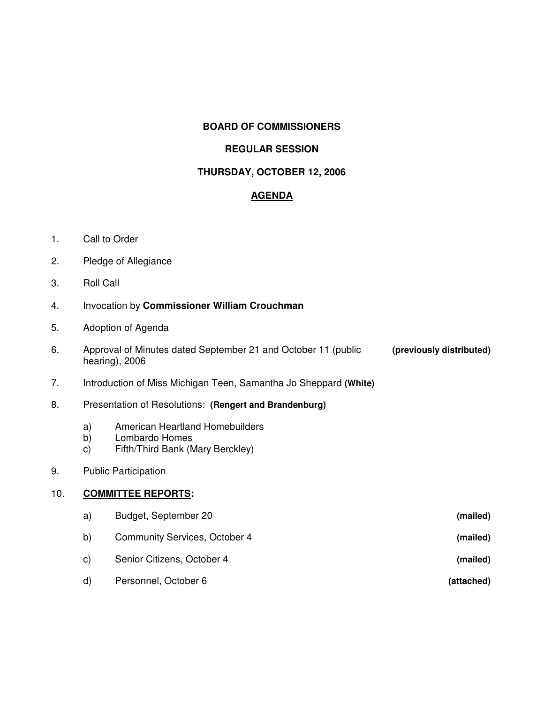# **BOARD OF COMMISSIONERS**

### **REGULAR SESSION**

### **THURSDAY, OCTOBER 12, 2006**

# **AGENDA**

- 1. Call to Order
- 2. Pledge of Allegiance
- 3. Roll Call
- 4. Invocation by **Commissioner William Crouchman**
- 5. Adoption of Agenda
- 6. Approval of Minutes dated September 21 and October 11 (public **(previously distributed)** hearing), 2006
- 7. Introduction of Miss Michigan Teen, Samantha Jo Sheppard **(White)**
- 8. Presentation of Resolutions: **(Rengert and Brandenburg)**
	- a) American Heartland Homebuilders
	- b) Lombardo Homes
	- c) Fifth/Third Bank (Mary Berckley)
- 9. Public Participation

### 10. **COMMITTEE REPORTS:**

a) Budget, September 20 **(mailed)** b) Community Services, October 4 **(mailed)** c) Senior Citizens, October 4 **(mailed)** d) Personnel, October 6 **(attached)**